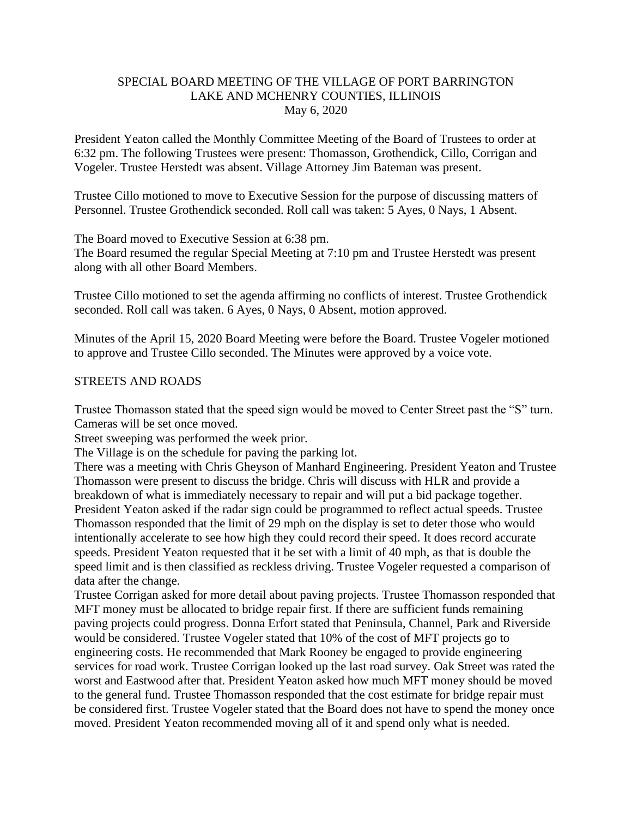## SPECIAL BOARD MEETING OF THE VILLAGE OF PORT BARRINGTON LAKE AND MCHENRY COUNTIES, ILLINOIS May 6, 2020

President Yeaton called the Monthly Committee Meeting of the Board of Trustees to order at 6:32 pm. The following Trustees were present: Thomasson, Grothendick, Cillo, Corrigan and Vogeler. Trustee Herstedt was absent. Village Attorney Jim Bateman was present.

Trustee Cillo motioned to move to Executive Session for the purpose of discussing matters of Personnel. Trustee Grothendick seconded. Roll call was taken: 5 Ayes, 0 Nays, 1 Absent.

The Board moved to Executive Session at 6:38 pm.

The Board resumed the regular Special Meeting at 7:10 pm and Trustee Herstedt was present along with all other Board Members.

Trustee Cillo motioned to set the agenda affirming no conflicts of interest. Trustee Grothendick seconded. Roll call was taken. 6 Ayes, 0 Nays, 0 Absent, motion approved.

Minutes of the April 15, 2020 Board Meeting were before the Board. Trustee Vogeler motioned to approve and Trustee Cillo seconded. The Minutes were approved by a voice vote.

### STREETS AND ROADS

Trustee Thomasson stated that the speed sign would be moved to Center Street past the "S" turn. Cameras will be set once moved.

Street sweeping was performed the week prior.

The Village is on the schedule for paving the parking lot.

There was a meeting with Chris Gheyson of Manhard Engineering. President Yeaton and Trustee Thomasson were present to discuss the bridge. Chris will discuss with HLR and provide a breakdown of what is immediately necessary to repair and will put a bid package together. President Yeaton asked if the radar sign could be programmed to reflect actual speeds. Trustee Thomasson responded that the limit of 29 mph on the display is set to deter those who would intentionally accelerate to see how high they could record their speed. It does record accurate speeds. President Yeaton requested that it be set with a limit of 40 mph, as that is double the speed limit and is then classified as reckless driving. Trustee Vogeler requested a comparison of data after the change.

Trustee Corrigan asked for more detail about paving projects. Trustee Thomasson responded that MFT money must be allocated to bridge repair first. If there are sufficient funds remaining paving projects could progress. Donna Erfort stated that Peninsula, Channel, Park and Riverside would be considered. Trustee Vogeler stated that 10% of the cost of MFT projects go to engineering costs. He recommended that Mark Rooney be engaged to provide engineering services for road work. Trustee Corrigan looked up the last road survey. Oak Street was rated the worst and Eastwood after that. President Yeaton asked how much MFT money should be moved to the general fund. Trustee Thomasson responded that the cost estimate for bridge repair must be considered first. Trustee Vogeler stated that the Board does not have to spend the money once moved. President Yeaton recommended moving all of it and spend only what is needed.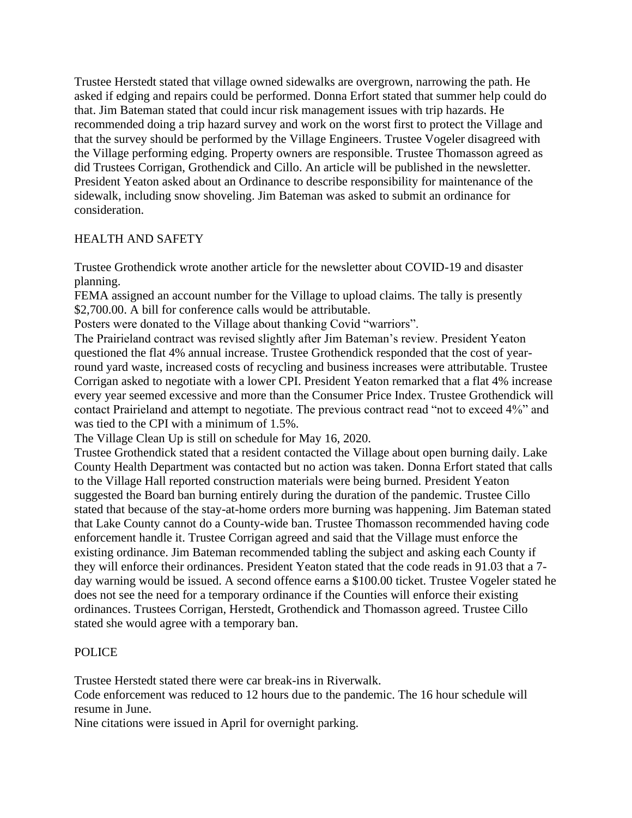Trustee Herstedt stated that village owned sidewalks are overgrown, narrowing the path. He asked if edging and repairs could be performed. Donna Erfort stated that summer help could do that. Jim Bateman stated that could incur risk management issues with trip hazards. He recommended doing a trip hazard survey and work on the worst first to protect the Village and that the survey should be performed by the Village Engineers. Trustee Vogeler disagreed with the Village performing edging. Property owners are responsible. Trustee Thomasson agreed as did Trustees Corrigan, Grothendick and Cillo. An article will be published in the newsletter. President Yeaton asked about an Ordinance to describe responsibility for maintenance of the sidewalk, including snow shoveling. Jim Bateman was asked to submit an ordinance for consideration.

# HEALTH AND SAFETY

Trustee Grothendick wrote another article for the newsletter about COVID-19 and disaster planning.

FEMA assigned an account number for the Village to upload claims. The tally is presently \$2,700.00. A bill for conference calls would be attributable.

Posters were donated to the Village about thanking Covid "warriors".

The Prairieland contract was revised slightly after Jim Bateman's review. President Yeaton questioned the flat 4% annual increase. Trustee Grothendick responded that the cost of yearround yard waste, increased costs of recycling and business increases were attributable. Trustee Corrigan asked to negotiate with a lower CPI. President Yeaton remarked that a flat 4% increase every year seemed excessive and more than the Consumer Price Index. Trustee Grothendick will contact Prairieland and attempt to negotiate. The previous contract read "not to exceed 4%" and was tied to the CPI with a minimum of 1.5%.

The Village Clean Up is still on schedule for May 16, 2020.

Trustee Grothendick stated that a resident contacted the Village about open burning daily. Lake County Health Department was contacted but no action was taken. Donna Erfort stated that calls to the Village Hall reported construction materials were being burned. President Yeaton suggested the Board ban burning entirely during the duration of the pandemic. Trustee Cillo stated that because of the stay-at-home orders more burning was happening. Jim Bateman stated that Lake County cannot do a County-wide ban. Trustee Thomasson recommended having code enforcement handle it. Trustee Corrigan agreed and said that the Village must enforce the existing ordinance. Jim Bateman recommended tabling the subject and asking each County if they will enforce their ordinances. President Yeaton stated that the code reads in 91.03 that a 7 day warning would be issued. A second offence earns a \$100.00 ticket. Trustee Vogeler stated he does not see the need for a temporary ordinance if the Counties will enforce their existing ordinances. Trustees Corrigan, Herstedt, Grothendick and Thomasson agreed. Trustee Cillo stated she would agree with a temporary ban.

# POLICE

Trustee Herstedt stated there were car break-ins in Riverwalk.

Code enforcement was reduced to 12 hours due to the pandemic. The 16 hour schedule will resume in June.

Nine citations were issued in April for overnight parking.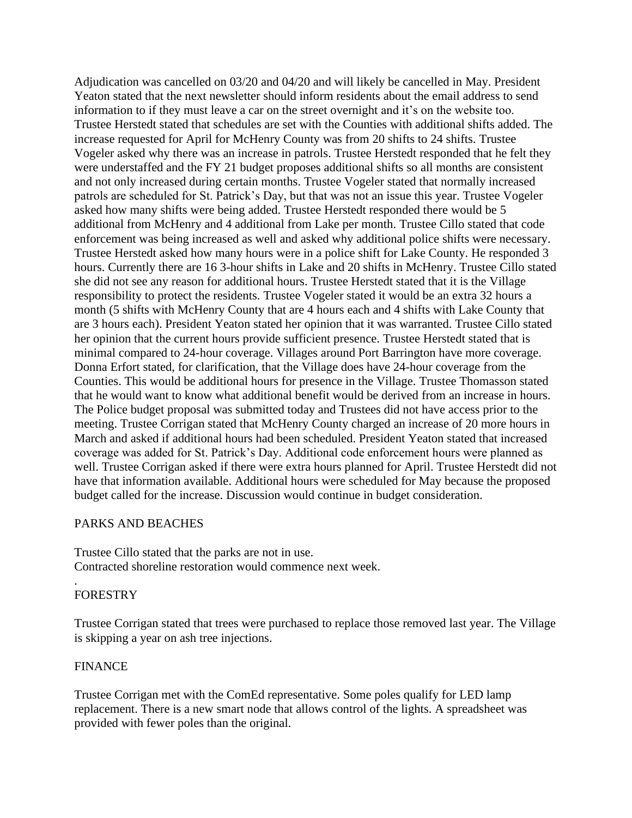Adjudication was cancelled on 03/20 and 04/20 and will likely be cancelled in May. President Yeaton stated that the next newsletter should inform residents about the email address to send information to if they must leave a car on the street overnight and it's on the website too. Trustee Herstedt stated that schedules are set with the Counties with additional shifts added. The increase requested for April for McHenry County was from 20 shifts to 24 shifts. Trustee Vogeler asked why there was an increase in patrols. Trustee Herstedt responded that he felt they were understaffed and the FY 21 budget proposes additional shifts so all months are consistent and not only increased during certain months. Trustee Vogeler stated that normally increased patrols are scheduled for St. Patrick's Day, but that was not an issue this year. Trustee Vogeler asked how many shifts were being added. Trustee Herstedt responded there would be 5 additional from McHenry and 4 additional from Lake per month. Trustee Cillo stated that code enforcement was being increased as well and asked why additional police shifts were necessary. Trustee Herstedt asked how many hours were in a police shift for Lake County. He responded 3 hours. Currently there are 16 3-hour shifts in Lake and 20 shifts in McHenry. Trustee Cillo stated she did not see any reason for additional hours. Trustee Herstedt stated that it is the Village responsibility to protect the residents. Trustee Vogeler stated it would be an extra 32 hours a month (5 shifts with McHenry County that are 4 hours each and 4 shifts with Lake County that are 3 hours each). President Yeaton stated her opinion that it was warranted. Trustee Cillo stated her opinion that the current hours provide sufficient presence. Trustee Herstedt stated that is minimal compared to 24-hour coverage. Villages around Port Barrington have more coverage. Donna Erfort stated, for clarification, that the Village does have 24-hour coverage from the Counties. This would be additional hours for presence in the Village. Trustee Thomasson stated that he would want to know what additional benefit would be derived from an increase in hours. The Police budget proposal was submitted today and Trustees did not have access prior to the meeting. Trustee Corrigan stated that McHenry County charged an increase of 20 more hours in March and asked if additional hours had been scheduled. President Yeaton stated that increased coverage was added for St. Patrick's Day. Additional code enforcement hours were planned as well. Trustee Corrigan asked if there were extra hours planned for April. Trustee Herstedt did not have that information available. Additional hours were scheduled for May because the proposed budget called for the increase. Discussion would continue in budget consideration.

### PARKS AND BEACHES

Trustee Cillo stated that the parks are not in use. Contracted shoreline restoration would commence next week.

#### . FORESTRY

Trustee Corrigan stated that trees were purchased to replace those removed last year. The Village is skipping a year on ash tree injections.

# FINANCE

Trustee Corrigan met with the ComEd representative. Some poles qualify for LED lamp replacement. There is a new smart node that allows control of the lights. A spreadsheet was provided with fewer poles than the original.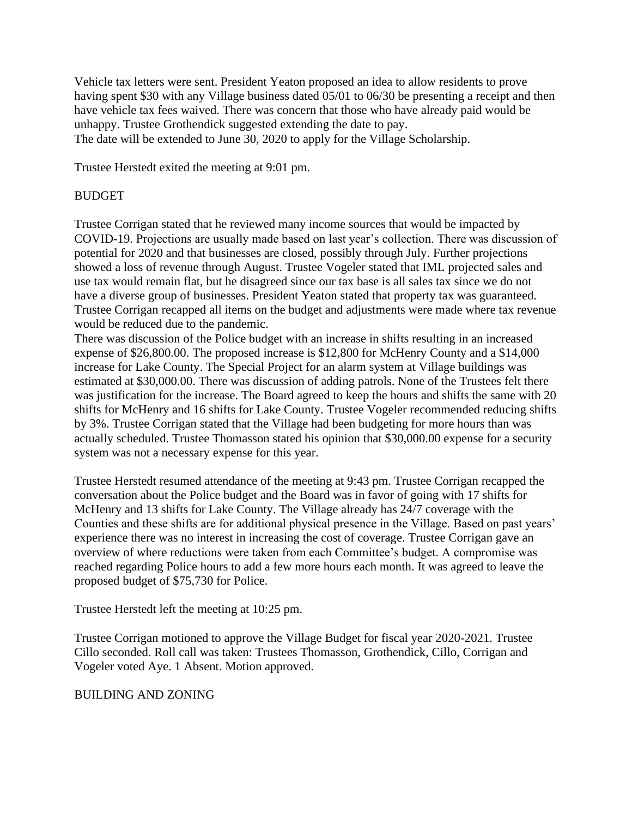Vehicle tax letters were sent. President Yeaton proposed an idea to allow residents to prove having spent \$30 with any Village business dated 05/01 to 06/30 be presenting a receipt and then have vehicle tax fees waived. There was concern that those who have already paid would be unhappy. Trustee Grothendick suggested extending the date to pay. The date will be extended to June 30, 2020 to apply for the Village Scholarship.

Trustee Herstedt exited the meeting at 9:01 pm.

### BUDGET

Trustee Corrigan stated that he reviewed many income sources that would be impacted by COVID-19. Projections are usually made based on last year's collection. There was discussion of potential for 2020 and that businesses are closed, possibly through July. Further projections showed a loss of revenue through August. Trustee Vogeler stated that IML projected sales and use tax would remain flat, but he disagreed since our tax base is all sales tax since we do not have a diverse group of businesses. President Yeaton stated that property tax was guaranteed. Trustee Corrigan recapped all items on the budget and adjustments were made where tax revenue would be reduced due to the pandemic.

There was discussion of the Police budget with an increase in shifts resulting in an increased expense of \$26,800.00. The proposed increase is \$12,800 for McHenry County and a \$14,000 increase for Lake County. The Special Project for an alarm system at Village buildings was estimated at \$30,000.00. There was discussion of adding patrols. None of the Trustees felt there was justification for the increase. The Board agreed to keep the hours and shifts the same with 20 shifts for McHenry and 16 shifts for Lake County. Trustee Vogeler recommended reducing shifts by 3%. Trustee Corrigan stated that the Village had been budgeting for more hours than was actually scheduled. Trustee Thomasson stated his opinion that \$30,000.00 expense for a security system was not a necessary expense for this year.

Trustee Herstedt resumed attendance of the meeting at 9:43 pm. Trustee Corrigan recapped the conversation about the Police budget and the Board was in favor of going with 17 shifts for McHenry and 13 shifts for Lake County. The Village already has 24/7 coverage with the Counties and these shifts are for additional physical presence in the Village. Based on past years' experience there was no interest in increasing the cost of coverage. Trustee Corrigan gave an overview of where reductions were taken from each Committee's budget. A compromise was reached regarding Police hours to add a few more hours each month. It was agreed to leave the proposed budget of \$75,730 for Police.

Trustee Herstedt left the meeting at 10:25 pm.

Trustee Corrigan motioned to approve the Village Budget for fiscal year 2020-2021. Trustee Cillo seconded. Roll call was taken: Trustees Thomasson, Grothendick, Cillo, Corrigan and Vogeler voted Aye. 1 Absent. Motion approved.

### BUILDING AND ZONING